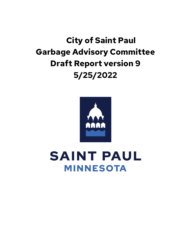# **City of Saint Paul Garbage Advisory Committee Draft Report version 9 5/25/2022**



**SAINT PAUL MINNESOTA**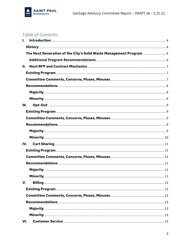

# Table of Contents

| I.  |                                                                     |  |
|-----|---------------------------------------------------------------------|--|
|     |                                                                     |  |
|     | The Next Generation of the City's Solid Waste Management Program  6 |  |
|     |                                                                     |  |
| Н.  |                                                                     |  |
|     |                                                                     |  |
|     |                                                                     |  |
|     |                                                                     |  |
|     |                                                                     |  |
|     |                                                                     |  |
| Ш.  |                                                                     |  |
|     |                                                                     |  |
|     |                                                                     |  |
|     |                                                                     |  |
|     |                                                                     |  |
|     |                                                                     |  |
| IV. |                                                                     |  |
|     |                                                                     |  |
|     |                                                                     |  |
|     |                                                                     |  |
|     |                                                                     |  |
|     |                                                                     |  |
| V.  |                                                                     |  |
|     |                                                                     |  |
|     |                                                                     |  |
|     |                                                                     |  |
|     |                                                                     |  |
|     |                                                                     |  |
| VI. |                                                                     |  |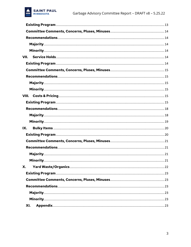

| VII. |  |
|------|--|
|      |  |
|      |  |
|      |  |
|      |  |
|      |  |
|      |  |
|      |  |
|      |  |
|      |  |
|      |  |
| IX.  |  |
|      |  |
|      |  |
|      |  |
|      |  |
|      |  |
| Х.   |  |
|      |  |
|      |  |
|      |  |
|      |  |
|      |  |
| XI.  |  |
|      |  |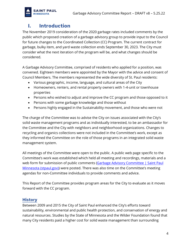

# <span id="page-3-0"></span>**I. Introduction**

The November 2019 consideration of the 2020 garbage rates included comments by the public which proposed creation of a garbage advisory group to provide input to the Council for future changes to the Coordinated Collection (CC) Program. The current contract for garbage, bulky item, and yard waste collection ends September 30, 2023. The City must consider what the next iteration of the program will be, and what changes should be considered.

A Garbage Advisory Committee, comprised of residents who applied for a position, was convened. Eighteen members were appointed by the Mayor with the advice and consent of Council Members. The members represented the wide diversity of St. Paul residents:

- Various geographic, income, language, and cultural areas of the City
- Homeowners, renters, and rental property owners with 1-4-unit or townhouse properties
- Persons who wished to adjust and improve the CC program and those opposed to it
- Persons with some garbage knowledge and those without
- Persons highly engaged in the Sustainability movement, and those who were not

The charge of the Committee was to advise the City on issues associated with the City's solid waste management programs and as individually interested, to be an ambassador for the Committee and the City with neighbors and neighborhood organizations. Changes to recycling and organics collections were not included in the Committee's work, except as they informed the Committee on the role of those programs in an integrated solid waste management system.

All meetings of the Committee were open to the public. A public web page specific to the Committee's work was established which held all meeting and recordings, materials and a web form for submission of public comments (Garbage Advisory Committee | Saint Paul [Minnesota \(stpaul.gov\)\)](https://www.stpaul.gov/departments/public-works/residential-garbage/garbage-advisory-committee) were posted. There was also time on the Committee's meeting agendas for non-Committee individuals to provide comments and advice.

This Report of the Committee provides program areas for the City to evaluate as it moves forward with the CC program.

#### <span id="page-3-1"></span>**History**

Between 2009 and 2015 the City of Saint Paul enhanced the City's efforts toward sustainability, environmental and public health protection, and conservation of energy and natural resources. Studies by the State of Minnesota and the Wilder Foundation found that many City residents paid a higher cost for solid waste management than surrounding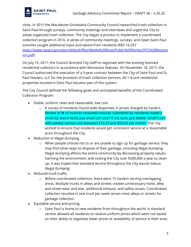

cities. In 2015 the Macalester-Groveland Community Council researched trash collection in Saint Paul through surveys, community meetings and interviews and urged the City to adopt organized trash collection. The City began a process to implement a coordinated collection program in 2016. A series of community meetings, surveys, and Open Saint Paul activities sought additional input and advice from residents (RES 16-337 h[ttps://www.stpaul.gov/sites/default/files/Media%20Root/Public%20Works/OTC%20Resolut](https://www.stpaul.gov/sites/default/files/Media%20Root/Public%20Works/OTC%20Resolution.pdf)

[ion.pdf\)](https://www.stpaul.gov/sites/default/files/Media%20Root/Public%20Works/OTC%20Resolution.pdf).

On July 19, 2017, the Council directed City staff to negotiate with the existing licensed residential collectors in accordance with Minnesota Statutes. On November 18, 2017, the Council authorized the execution of a 5-year contract between the City of Saint Paul and St. Paul Haulers, LLC for the provision of trash collection services. All 1-4-unit residential properties located in Saint Paul became part of this system.

The City Council defined the following goals and anticipated benefits of the Coordinated Collection Program:

- Stable, uniform rates and reasonable, low cost.
	- o A survey of residents found wide disparities in prices charged by haulers. Review of (# of invoices received) invoices submitted by residents noted a small (Q: was it really just small cart size? If not sure, just delete "small") cart with weekly service cost between \$10.33 and \$53.65 per month. The City wished to ensure that residents would get consistent service at a reasonable price throughout the City.
- Reduction in illegal dumping.
	- $\circ$  When people choose not to or are unable to sign up for garbage service, they may find other ways to dispose of their garbage, including illegal dumping. Illegal dumping affects the entire community by decreasing property values, harming the environment, and costing the City over \$300,000 a year to clean up. It was hoped that standard service throughout the City would reduce illegal dumping.
- Reduced truck traffic.
	- $\circ$  Before coordinated collection, there were 15 haulers serving overlapping areas. Multiple trucks in alleys and streets creates unnecessary noise, alley and street wear and tear, additional exhaust, and safety issues. Coordinated collection resulted in one truck per week serves most alleys or streets for garbage collection.
- Equitable service and pricing.
	- o Saint Paul is home to new residents from throughout the world. A standard service allowed all residents to receive uniform prices which were not based on their ability to negotiate lower prices or availability of service in their area.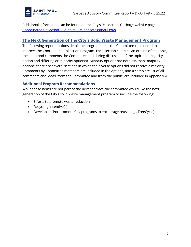

Additional information can be found on the City's Residential Garbage website page: [Coordinated Collection | Saint Paul Minnesota \(stpaul.gov\)](https://www.stpaul.gov/departments/public-works/residential-garbage/coordinated-collection)

#### <span id="page-5-0"></span>**The Next Generation of the City's Solid Waste Management Program**

The following report sections detail the program areas the Committee considered to improve the Coordinated Collection Program. Each section contains an outline of the topic, the ideas and comments the Committee had during discussion of the topic, the majority option and differing or minority option(s). Minority options are not "less than" majority options; there are several sections in which the diverse options did not receive a majority. Comments by Committee members are included in the options, and a complete list of all comments and ideas, from the Committee and from the public, are included in Appendix A.

#### <span id="page-5-1"></span>**Additional Program Recommendations**

While these items are not part of the next contract, the committee would like the next generation of the City's solid waste management program to include the following:

- Efforts to promote waste reduction
- Recycling incentive(s)
- Develop and/or promote City programs to encourage reuse (e.g., FreeCycle)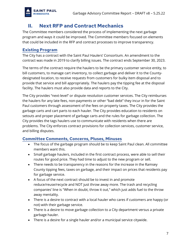

# <span id="page-6-0"></span>**II. Next RFP and Contract Mechanics**

The Committee members considered the process of implementing the next garbage program and ways it could be improved. The Committee members focused on elements that could be included in the RFP and contract processes to improve transparency.

#### <span id="page-6-1"></span>**Existing Program**

The City has a contract with the Saint Paul Haulers' Consortium. An amendment to the contract was made in 2019 to clarify billing issues. The contract ends September 30, 2023.

The terms of the contract require the haulers to be the primary customer service entity, to bill customers, to manage cart inventory, to collect garbage and deliver it to the Countydesignated location, to receive requests from customers for bulky item disposal and to provide that service and bill appropriately. The haulers pay the tipping fee at the disposal facility. The haulers must also provide data and reports to the City.

The City provides "next-level" or dispute resolution customer services. The City reimburses the haulers for any late fees, non-payments or other "bad debt" they incur in for the Saint Paul customers through assessment of the fees on property taxes. The City provides the garbage carts and cart parts to each hauler. The City provides education to residents on setouts and proper placement of garbage carts and the rules for garbage collection. The City provides the tags haulers use to communicate with residents when there are problems. The City enforces contract provisions for collection services, customer service, and billing disputes.

#### <span id="page-6-2"></span>**Committee Comments, Concerns, Pluses, Minuses**

- The focus of the garbage program should be to keep Saint Paul clean. All committee members want this.
- Small garbage haulers, included in the first contract process, were able to sell their routes for good price. They had time to adjust to the new program or sell.
- There needs to be transparency in the reasons for the increase in the Ramsey County tipping fees, taxes on garbage, and their impact on prices that residents pay for garbage service.
- A focus of the next contract should be to invest in and promote reduce/reuse/recycle and NOT just throw away more. The trash and recycling companies' line is "When in doubt, throw it out," which just adds fuel to the throw away mentality.
- There is a desire to contract with a local hauler who cares if customers are happy (or not) with their garbage service.
- There is a desire to move garbage collection to a City department versus a private garbage hauler.
- There is a desire for a single hauler and/or a municipal service citywide.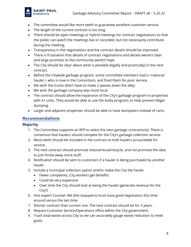- 
- The committee would like more teeth to guarantee excellent customer service.
- The length of the current contract is too long.
- There should be open meetings or hybrid meetings for contract negotiations so that the public can watch the meetings live or recorded, but not necessarily contribute during the meeting.
- Transparency in the negotiations and the contract details should be improved.
- There is frustration that details of contract negotiations and details weren't clear and large promises to the community weren't kept.
- The City should be clear about what is possible (legally and practically) in the next contract.
- Before the Citywide garbage program, some committee members had a <national hauler,> who is now in the Consortium, and fired them for poor service.
- We wish the trucks didn't have to make 2 passes down the alley
- We wish the garbage company was more local.
- The contract should allow the expansion of the City's garbage program to properties with 5+ units. They would be able to use the bulky program; to help prevent illegal dumping.
- Larger and adjacent properties should be able to have dumpsters instead of carts.

## <span id="page-7-0"></span>**Recommendations**

### <span id="page-7-1"></span>**Majority**

- 1. The Committee supports an RFP to select the next garbage contractor(s). There is consensus that haulers should compete for the City's garbage collection service.
- 2. More teeth should be included in the contract to hold haulers accountable for service.
- 3. The next contract should promote reduce/reuse/recycle, and not promote the idea to just throw away more stuff.
- 4. Notification should be sent to customers if a hauler is being purchased by another hauler.
- 5. Include a municipal collection option and/or make the City the hauler
	- Fewer complaints, City workers get benefits
	- Could be very expensive
	- Over time the City should look at being the hauler (generate revenue for the City?)
- 6. Hire expert Counsel. We (the taxpayers) must have good negotiators this time around versus the last time.
- 7. Shorter contract than current one. The next contract should be for 3 years.
- 8. Require Customer Service/Operations office within the City government.
- 9. Track total waste across City so we can accurately gauge waste reduction to meet goals.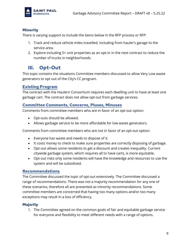

#### <span id="page-8-0"></span>**Minority**

There is varying support to include the items below in the RFP process or RFP:

- 1. Track and reduce vehicle miles travelled, including from hauler's garage to the service area.
- 2. Explore including 5+ unit properties as an opt-in in the next contract to reduce the number of trucks in neighborhoods.

# <span id="page-8-1"></span>**III. Opt-Out**

This topic contains the situations Committee members discussed to allow Very Low waste generators to opt out of the City's CC program.

#### <span id="page-8-2"></span>**Existing Program**

The contract with the Haulers' Consortium requires each dwelling unit to have at least one garbage cart. The contract does not allow opt-out from garbage services.

#### <span id="page-8-3"></span>**Committee Comments, Concerns, Pluses, Minuses**

Comments from committee members who are in favor of an opt-out option:

- Opt-outs should be allowed.
- Allows garbage service to be more affordable for low waste generators.

Comments from committee members who are not in favor of an opt-out option:

- Everyone has waste and needs to dispose of it.
- It costs money to check to make sure properties are correctly disposing of garbage.
- Opt-out allows some residents to get a discount and creates inequality. Current citywide garbage system, which requires all to have carts, is more equitable.
- Opt-out risks only some residents will have the knowledge and resources to use the system and will be subsidized.

#### <span id="page-8-4"></span>**Recommendations**

The Committee discussed the topic of opt-out extensively. The Committee discussed a range of recommendations. There was not a majority recommendation for any one of these scenarios, therefore all are presented as minority recommendations. Some committee members are concerned that having too many options and/or too many exceptions may result in a loss of efficiency.

#### <span id="page-8-5"></span>**Majority**

1. The Committee agreed on the common goals of fair and equitable garbage service for everyone and flexibility to meet different needs with a range of options.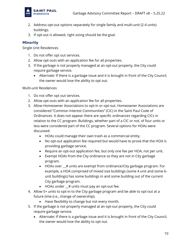

- 2. Address opt-out options separately for single family and multi-unit (2-4 units) buildings.
- 3. If opt-out is allowed, right sizing should be the goal.

#### <span id="page-9-0"></span>**Minority**

Single Unit Residences

- 1. Do not offer opt out services.
- 2. Allow opt-outs with an application fee for all properties.
- 3. If the garbage is not properly managed at an opt-out property, the City could require garbage service.
	- Alternate: If there is a garbage issue and it is brought in front of the City Council, the owner would lose the ability to opt out.

Multi-unit Residences

- 1. Do not offer opt out services.
- 2. Allow opt-outs with an application fee for all properties.
- 3. Allow Homeowner Associations to opt-in or opt-out. Homeowner Associations are considered "Common Interest Communities" (CIC) in the Saint Paul Code of Ordinances. It does not appear there are specific ordinances regarding CICs in relation to the CC program. Buildings, whether part of a CIC or not, of four units or less were considered part of the CC program. Several options for HOAs were discussed:
	- HOAs could manage their own trash as a commercial entity.
	- No opt-out application fee required but would have to prove that the HOA is providing garbage service.
	- Require an opt-out application fee, but only one fee per HOA, not per unit.
	- Exempt HOAs from the City ordinance so they are not in City garbage program.
	- HOAs over  $\mu$  units are exempt from ordinance/City garbage program. For example, a HOA comprised of mixed size buildings (some 4 unit and some 6 unit buildings) has some buildings in and some building out of the current City garbage program.
	- HOAs under \_\_# units must pay an opt-out fee.
- 4. Allow 5+ units to opt-in to the City garbage program and be able to opt-out at a future time (i.e., change of ownership).
	- Have flexibility to change but not every month.
- 5. If the garbage is not properly managed at an opt-out property, the City could require garbage service.
	- Alternate: If there is a garbage issue and it is brought in front of the City Council, the owner would lose the ability to opt out.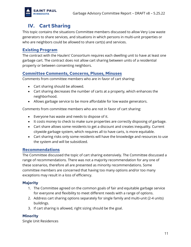

# <span id="page-10-0"></span>**IV. Cart Sharing**

This topic contains the situations Committee members discussed to allow Very Low waste generators to share services, and situations in which persons in multi-unit properties or who are neighbors could be allowed to share cart(s) and services.

#### <span id="page-10-1"></span>**Existing Program**

The contract with the Haulers' Consortium requires each dwelling unit to have at least one garbage cart. The contract does not allow cart sharing between units of a residential property or between consenting neighbors.

#### <span id="page-10-2"></span>**Committee Comments, Concerns, Pluses, Minuses**

Comments from committee members who are in favor of cart sharing:

- Cart sharing should be allowed.
- Cart sharing decreases the number of carts at a property, which enhances the neighborhood.
- Allows garbage service to be more affordable for low waste generators.

Comments from committee members who are not in favor of cart sharing:

- Everyone has waste and needs to dispose of it.
- It costs money to check to make sure properties are correctly disposing of garbage.
- Cart share allows some residents to get a discount and creates inequality. Current citywide garbage system, which requires all to have carts, is more equitable.
- Cart sharing risks only some residents will have the knowledge and resources to use the system and will be subsidized.

#### <span id="page-10-3"></span>**Recommendations**

The Committee discussed the topic of cart sharing extensively. The Committee discussed a range of recommendations. There was not a majority recommendation for any one of these scenarios, therefore all are presented as minority recommendations. Some committee members are concerned that having too many options and/or too many exceptions may result in a loss of efficiency.

#### <span id="page-10-4"></span>**Majority**

- 1. The Committee agreed on the common goals of fair and equitable garbage service for everyone and flexibility to meet different needs with a range of options.
- 2. Address cart sharing options separately for single family and multi-unit (2-4 units) buildings.
- 3. If cart sharing is allowed, right sizing should be the goal.

#### <span id="page-10-5"></span>**Minority**

Single Unit Residences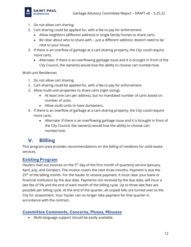

- 1. Do not allow cart sharing.
- 2. Cart-sharing could be applied for, with a fee to pay for enforcement.
	- Allow neighbors (different address) in single family homes to share carts.
	- Be clear about who to share with just a different address; doesn't need to be next to your house.
- 3. If there is an overflow of garbage at a cart-sharing property, the City could require more carts.
	- Alternate: If there is an overflowing garbage issue and it is brought in front of the City Council, the owner(s) would lose the ability to choose cart number/size.

Multi-unit Residences

- 1. Do not allow cart sharing.
- 2. Cart-sharing could be applied for, with a fee to pay for enforcement.
- 3. Allow multi-unit properties to share carts (right sizing).
	- At least one cart per address, but no mandated number of carts based on number of units.
	- Allow multi-units to have dumpsters.
- 4. If there is an overflow of garbage at a cart-sharing property, the City could require more carts.
	- Alternate: If there is an overflowing garbage issue and it is brought in front of the City Council, the owner(s) would lose the ability to choose cart number/size.

# <span id="page-11-0"></span>**V. Billing**

This program area provides recommendations on the billing of residents for solid waste services.

#### <span id="page-11-1"></span>**Existing Program**

Haulers mail out invoices on the 5<sup>th</sup> day of the first month of quarterly service (January, April, July, and October). The invoice covers the next three months. Payment is due the 25<sup>th</sup> of the billing month. For the hauler to receive payment, it must clear your bank or financial institution by the due date. Payments not received by the due date, will incur a late fee of 5% and the end of each month of the billing cycle. Up to three late fees are possible per billing cycle. At the end of the quarter, all unpaid bills are turned over to the City for assessment. Your hauler can no longer take payment for that quarter in accordance with the contract.

#### <span id="page-11-2"></span>**Committee Comments, Concerns, Pluses, Minuses**

• Multi-language support should be easily available.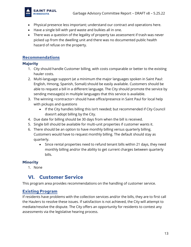

- Physical presence less important; understand our contract and operations here.
- Have a single bill with yard waste and bulkies all in one.
- There was a question of the legality of property tax assessment if trash was never picked up from the dwelling unit and there was no documented public health hazard of refuse on the property.

### <span id="page-12-0"></span>**Recommendations**

#### <span id="page-12-1"></span>**Majority**

- 1. City should handle Customer billing, with costs comparable or better to the existing hauler costs.
- 2. Multi-language support (at a minimum the major languages spoken in Saint Paul: English, Hmong, Spanish, Somali) should be easily available. Customers should be able to request a bill in a different language. The City should promote the service by sending message(s) in multiple languages that this service is available.
- 3. The winning <contractor> should have office/presence in Saint Paul for local help with pickups and questions
	- If the City handles billing this isn't needed; but recommended if City Council doesn't adopt billing by the City.
- 4. Due date for billing should be 30 days from when the bill is received.
- 5. Single bill should be available for multi-unit properties if customer wants it.
- 6. There should be an option to have monthly billing versus quarterly billing. Customers would have to request monthly billing. The default should stay as quarterly.
	- Since rental properties need to refund tenant bills within 21 days, they need monthly billing and/or the ability to get current charges between quarterly bills.

## <span id="page-12-2"></span>**Minority**

1. None

# <span id="page-12-3"></span>**VI. Customer Service**

This program area provides recommendations on the handling of customer service.

## <span id="page-12-4"></span>**Existing Program**

If residents have problems with the collection services and/or the bills, they are to first call the Haulers to resolve these issues. If satisfaction is not achieved, the City will attempt to mediate/resolve the dispute. The City offers an opportunity for residents to contest any assessments via the legislative hearing process.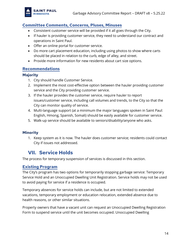

#### <span id="page-13-0"></span>**Committee Comments, Concerns, Pluses, Minuses**

- Consistent customer service will be provided if it all goes through the City.
- If hauler is providing customer service, they need to understand our contract and operations in Saint Paul.
- Offer an online portal for customer service.
- Do more cart placement education, including using photos to show where carts should be placed in relation to the curb, edge of alley, and street.
- Provide more information for new residents about cart size options.

#### <span id="page-13-1"></span>**Recommendations**

#### <span id="page-13-2"></span>**Majority**

- 1. City should handle Customer Service.
- 2. Implement the most cost-effective option between the hauler providing customer service and the City providing customer service.
- 3. If the hauler provides the customer service, require hauler to report issues/customer service, including call volumes and trends, to the City so that the City can monitor quality of service.
- 4. Multi-language support (at a minimum the major languages spoken in Saint Paul: English, Hmong, Spanish, Somali) should be easily available for customer service.
- 5. Walk-up service should be available to seniors/disability/anyone who asks.

#### <span id="page-13-3"></span>**Minority**

1. Keep system as it is now. The hauler does customer service; residents could contact City if issues not addressed.

# <span id="page-13-4"></span>**VII. Service Holds**

The process for temporary suspension of services is discussed in this section.

#### <span id="page-13-5"></span>**Existing Program**

The City's program has two options for temporarily stopping garbage service: Temporary Service Hold and an Unoccupied Dwelling Unit Registration. Service holds may not be used to avoid paying for service if a residence is occupied.

Temporary absences for service holds can include, but are not limited to extended vacations, temporary employment or education relocation, extended absence due to health reasons, or other similar situations.

Property owners that have a vacant unit can request an Unoccupied Dwelling Registration Form to suspend service until the unit becomes occupied. Unoccupied Dwelling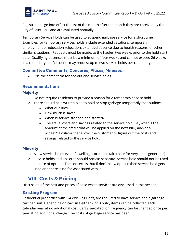

Registrations go into effect the 1st of the month after the month they are received by the City of Saint Paul and are evaluated annually.

Temporary Service Holds can be used to suspend garbage service for a short time. Examples for temporary services holds include extended vacations, temporary employment or education relocation, extended absence due to health reasons, or other similar situations. Requests must be made, to the hauler, two weeks prior to the hold start date. Qualifying absences must be a minimum of four weeks and cannot exceed 26 weeks in a calendar year. Residents may request up to two service holds per calendar year.

#### <span id="page-14-0"></span>**Committee Comments, Concerns, Pluses, Minuses**

• Use the same form for opt-out and service holds.

#### <span id="page-14-1"></span>**Recommendations**

#### <span id="page-14-2"></span>**Majority**

- 1. Do not require residents to provide a reason for a temporary service hold.
- 2. There should be a written plan to hold or stop garbage temporarily that outlines:
	- What qualifies?
	- How much is saved?
	- When is service stopped and started?
	- The actual costs and savings related to the service hold (i.e., what is the amount of the credit that will be applied on the next bill?) and/or a widget/calculator that allows the customer to figure out the costs and savings related to the service hold.

#### <span id="page-14-3"></span>**Minority**

- 1. Allow service holds even if dwelling is occupied (alternate for very small generator)
- 2. Service holds and opt-outs should remain separate. Service hold should not be used in place of opt-out. The concern is that if don't allow opt-out then service hold gets used and there is no fee associated with it

# <span id="page-14-4"></span>**VIII. Costs & Pricing**

Discussion of the cost and prices of solid waste services are discussed in this section.

#### <span id="page-14-5"></span>**Existing Program**

Residential properties with 1-4 dwelling units, are required to have service and a garbage cart per unit. Depending on cart size either 2 or 3 bulky items can be collected each calendar year at no additional cost. Cart size/collection frequency can be changed once per year at no additional charge. The costs of garbage service has been: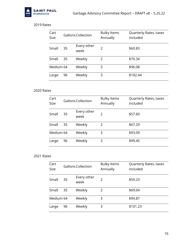

#### 2019 Rates

| Cart<br><b>Size</b> |    | <b>Gallons Collection</b> | <b>Bulky Items</b><br>Annually | Quarterly Rates, taxes<br>included |
|---------------------|----|---------------------------|--------------------------------|------------------------------------|
| Small               | 35 | Every other<br>week       | フ                              | \$60.83                            |
| Small               | 35 | Weekly                    | 2                              | \$70.34                            |
| Medium 64           |    | Weekly                    | 3                              | \$96.08                            |
| Large               | 96 | Weekly                    | 3                              | \$102.44                           |

#### 2020 Rates

| Cart<br><b>Size</b> |    | Gallons Collection  | <b>Bulky Items</b><br>Annually | Quarterly Rates, taxes<br>included |
|---------------------|----|---------------------|--------------------------------|------------------------------------|
| Small               | 35 | Every other<br>week | $\mathcal{P}$                  | \$57.60                            |
| Small               | 35 | Weekly              | $\mathcal{P}$                  | \$67.29                            |
| Medium 64           |    | Weekly              | 3                              | \$93.09                            |
| Large               | 96 | Weekly              | 3                              | \$99.45                            |

#### 2021 Rates

| Cart<br>Size |    | Gallons Collection  | <b>Bulky Items</b><br>Annually | Quarterly Rates, taxes<br>included |
|--------------|----|---------------------|--------------------------------|------------------------------------|
| Small        | 35 | Every other<br>week | $\mathcal{P}$                  | \$59.23                            |
| Small        | 35 | Weekly              | 2                              | \$69.04                            |
| Medium 64    |    | Weekly              | 3                              | \$94.87                            |
| Large        | 96 | Weekly              | 3                              | \$101.23                           |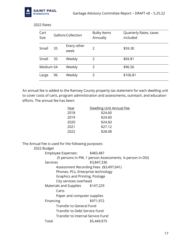

| Cart<br><b>Size</b> | Gallons Collection |                     | <b>Bulky Items</b><br>Annually | Quarterly Rates, taxes<br>included |
|---------------------|--------------------|---------------------|--------------------------------|------------------------------------|
| Small               | 35                 | Every other<br>week | $\mathcal{P}$                  | \$59.30                            |
| Small               | 35                 | Weekly              | 2                              | \$69.81                            |
| Medium 64           |                    | Weekly              | 3                              | \$96.56                            |
| Large               | 96                 | Weekly              | 3                              | \$106.81                           |

2022 Rates

An annual fee is added to the Ramsey County property tax statement for each dwelling unit to cover costs of carts, program administration and assessments, outreach, and education efforts. The annual fee has been:

| Year | <b>Dwelling Unit Annual Fee</b> |
|------|---------------------------------|
| 2018 | \$24.60                         |
| 2019 | \$24.60                         |
| 2020 | \$24.60                         |
| 2021 | \$27.12                         |
| 2022 | \$28.08                         |

The Annual Fee is used for the following purposes:

#### 2022 Budget

| <b>Employee Expenses:</b>               | \$483,487                                                  |
|-----------------------------------------|------------------------------------------------------------|
|                                         | (5 persons in PW, 1 person Assessments, 1/4 person in DSI) |
| Services                                | \$3,847,336                                                |
| Assessment Recording Fees (\$3,497,041) |                                                            |
| Phones, PCs, Enterprise technology      |                                                            |
| Graphics and Printing, Postage          |                                                            |
| City services overhead                  |                                                            |
| Materials and Supplies \$147,229        |                                                            |
| Carts                                   |                                                            |
| Paper and computer supplies             |                                                            |
| Financing                               | \$971,972                                                  |
| Transfer to General Fund                |                                                            |
| Transfer to Debt Service Fund           |                                                            |
| Transfer to Internal Service Fund       |                                                            |
| Total                                   | \$5,449,975                                                |
|                                         |                                                            |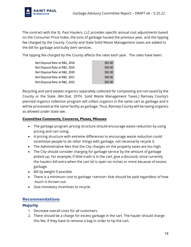

The contract with the St. Paul Haulers, LLC provides specific annual cost adjustments based on the Consumer Price Index, the tons of garbage hauled the previous year, and the tipping fee charged by the County. County and State Solid Waste Management taxes are added to the bill for garbage and bulky item services.

The tipping fee charged by the County affects the rates each year. The rates have been:

| Net Disposal Rate at R&E, 2018 | \$65.00 |
|--------------------------------|---------|
| Net Disposal Rate at R&E, 2019 | \$69.00 |
| Net Disposal Rate at R&E, 2020 | \$82.00 |
| Net Disposal Rate at R&E, 2021 | \$84.00 |
| Net Disposal Rate at R&E, 2022 | \$87.00 |

Recycling and yard wastes organics separately collected for composting are not taxed by the County or the State. (Mn.Stat. 297H. Solid Waste Management Taxes.) Ramsey County's planned organics collection program will collect organics in the same cart as garbage and it will be processed at the same facility as garbage. Thus, Ramsey County will be taxing organics as allowed under state law.

#### **Committee Comments, Concerns, Pluses, Minuses**

- The garbage program pricing structure should encourage waste reduction by using pricing and cart sizing.
- A pricing structure with extreme differences to encourage waste reduction could incentivize people to do other things with garbage, not necessarily recycle it.
- The Administrative fees that the City charges on the property taxes are too high.
- The City should consider charging for garbage service by the amount of garbage picked up. For example, if little trash is in the cart, give a discount, since currently the haulers bill extra when the cart lid is open six inches or more because of excess garbage.
- Bill by weight if possible.
- There is a minimum cost to garbage <service> that should be paid regardless of how much is thrown out.
- Give monetary incentives to recycle.

#### <span id="page-17-0"></span>**Recommendations**

#### <span id="page-17-1"></span>**Majority**

- 1. Decrease overall costs for all customers.
- 2. There should be a charge for excess garbage in the cart. The hauler should charge this fee, if they have to remove a bag in order to tip the cart.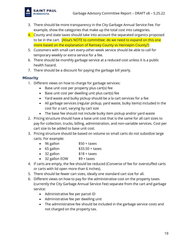

- 3. There should be more transparency in the City Garbage Annual Service Fee. For example, show the categories that make up the total cost into categories.
- 4. County and state taxes should take into account the separated organics proposed to be in the cart. [Alisa's NOTE to committee: do we need to expand on this one more based on the explanation of Ramsey County vs Hennepin County?)
- 5. Customers with small cart every-other-week service should be able to call for temporary weekly or extra service for a fee.
- 6. There should be monthly garbage service at a reduced cost unless it is a public health hazard.
- 7. There should be a discount for paying the garbage bill yearly.

#### <span id="page-18-0"></span>**Minority**

- 1. Different views on how to charge for garbage services:
	- Base unit cost per property plus cart(s) fee
	- Base unit cost per dwelling unit plus cart(s) fee
	- Yard waste and bulky pickup should be a la cart services for a fee
	- All garbage services (regular pickup, yard waste, bulky items) included in the cost for a cart, varying by cart size
	- The base fee should not include bulky item pickup and/or yard waste
- 2. Pricing structure should have a base unit cost that is the same for all cart sizes to pay for collection, trucks, billing, administration, and non-variable services. Cost per cart size to be added to base unit cost.
- 3. Pricing structure should be based on volume so small carts do not subsidize large carts. For example:
	- 96 gallon \$50 + taxes
	- $\bullet$  65 gallon  $$33.50 + taxes$
	- 32 gallon \$18 + taxes
	- 32 gallon EOW \$9 + taxes
- 4. If carts are empty, the fee should be reduced (Converse of fee for overstuffed carts or carts with lid open more than 6 inches).
- 5. There should be fewer cart sizes, ideally one standard cart size for all.
- 6. Different views on how to pay for the administrative cost on the property taxes (currently the City Garbage Annual Service Fee) separate from the cart and garbage service:
	- Administrative fee per parcel ID
	- Administrative fee per dwelling unit
	- The administrative fee should be included in the garbage service costs and not charged on the property tax.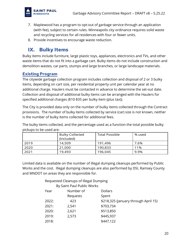

- 7. Maplewood has a program to opt-out of garbage service through an application (with fee), subject to certain rules. Minneapolis city ordinance requires solid waste and recycling services for all residences with four or fewer units.
- 8. Provide incentives to encourage waste reduction.

# <span id="page-19-0"></span>**IX. Bulky Items**

Bulky items include furniture, large plastic toys, appliances, electronics and TVs, and other waste items that do not fit into a garbage cart. Bulky items do not include construction and demolition wastes, car parts, stumps and large branches, or large landscape materials.

#### <span id="page-19-1"></span>**Existing Program**

The citywide garbage collection program includes collection and disposal of 2 or 3 bulky items, depending on cart size, per residential property unit per calendar year at no additional charge. Haulers must be contacted in advance to determine the set-out date. Collection and disposal of additional bulky items can be arranged with the Haulers for specified additional charges (\$10-\$35 per bulky item (plus tax)).

The City is provided data only on the number of bulky items collected through the Contract provisions. The number of bulky items collected by service (car) size is not known, neither is the number of bulky items collected for additional fees.

The bulky items collected, and the percentage used as a function the total possible bulky pickups to be used are:

|      | <b>Bulky Collected</b><br>(Included) | <b>Total Possible</b> | % used |
|------|--------------------------------------|-----------------------|--------|
| 2019 | 14,509                               | 191,496               | 7.6%   |
| 2020 | 21,000                               | 190,833               | 11%    |
| 2021 | 19,493                               | 196,045               | 9.9%   |

Limited data is available on the number of illegal dumping cleanups performed by Public Works and the cost. Illegal dumping cleanups are also performed by DSI, Ramsey County and MNDOT on areas they are responsible for.

> Requested Cleanups of Illegal Dumping By Saint Paul Public Works

|       | <b>Dy Jaillet automony violing</b> |                                      |
|-------|------------------------------------|--------------------------------------|
| Year  | Number of                          | <b>Dollars</b>                       |
|       | Requests                           | Spent                                |
| 2022: | 423                                | \$218,325 (January through April 15) |
| 2021: | 2,541                              | \$703,734                            |
| 2020: | 2,621                              | \$513,850                            |
| 2019: | 2,573                              | \$445,937                            |
| 2018: |                                    | \$447,122                            |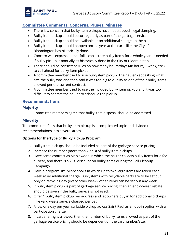

#### <span id="page-20-0"></span>**Committee Comments, Concerns, Pluses, Minuses**

- There is a concern that bulky item pickups have not stopped illegal dumping.
- Bulky item pickup should occur regularly as part of the garbage service.
- Bulky item pickup should be available as an additional charge on the bill.
- Bulky item pickup should happen once a year at the curb, like the City of Bloomington has historically done.
- Concern was expressed that folks can't store bulky items for a whole year as needed if bulky pickup is annually as historically done in the City of Bloomington.
- There should be consistent rules on how many hours/days (48 hours, 1 week, etc.) to call ahead for bulky item pickup.
- A committee member tried to use bulky item pickup. The hauler kept asking what size the bulky was and then said it was too big to qualify as one of their bulky items allowed per the current contract.
- A committee member tried to use the included bulky item pickup and it was too difficult to contact the hauler to schedule the pickup.

#### <span id="page-20-1"></span>**Recommendations**

#### <span id="page-20-2"></span>**Majority**

1. Committee members agree that bulky item disposal should be addressed.

#### <span id="page-20-3"></span>**Minority**

The committee feels that bulky item pickup is a complicated topic and divided the recommendations into several areas.

#### **Options for the Type of Bulky Pickup Program**

- 1. Bulky item pickups should be included as part of the garbage service pricing.
- 2. Increase the number (more than 2 or 3) of bulky item pickups.
- 3. Have same contract as Maplewood in which the hauler collects bulky items for a fee all year, and there is a 20% discount on bulky items during the Fall Cleanup Campaign.
- 4. Have a program like Minneapolis in which up to two large items are taken each week at no additional charge. Bulky items with recyclable parts are to be set out only on recycling day (every other week), other items can be set out any week.
- 5. If bulky item pickup is part of garbage service pricing, then an end-of-year rebate should be given if the bulky service is not used.
- 6. Offer 1 bulky item pickup per address and let owners buy in for additional pick-ups (like yard waste service charged per bag).
- 7. Allow one day per year curbside pickup across Saint Paul as an opt-in option with a participation charge.
- 8. If cart sharing is allowed, then the number of bulky items allowed as part of the garbage service pricing should be dependent on the cart number/size.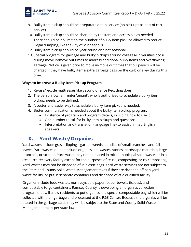

- 9. Bulky item pickup should be a separate opt-in service (no pick-ups as part of cart service).
- 10. Bulky item pickup should be charged by the item and accessible as needed.
- 11. There should be no limit on the number of bulky item pickups allowed to reduce illegal dumping, like the City of Minneapolis.
- 12. Bulky item pickup should be year-round and not seasonal.
- 13. Special program for garbage and bulky pickups around colleges/universities occur during move in/move out times to address additional bulky items and overflowing garbage. Notice is given prior to move in/move out times that bill payers will be charged if they have bulky items/extra garbage bags on the curb or alley during this time.

#### **Ways to Improve a Bulky Item Pickup Program**

- 1. Re-use/recycle mattresses like Second Chance Recycling does.
- 2. The person (owner, renter/tenant), who is authorized to schedule a bulky item pickup, needs to be defined.
- 3. A better and easier way to schedule a bulky item pickup is needed.
- 4. Better communication is needed about the bulky item pickup program:
	- Existence of program and program details, including how to use it
	- One number to call for bulky item pickups and questions
	- Interpretation and translation (language line) to assist limited English speakers

# <span id="page-21-0"></span>**X. Yard Waste/Organics**

Yard wastes include grass clippings, garden weeds, bundles of small branches, and fall leaves. Yard wastes do not include organics, pet wastes, stones, hardscape materials, large branches, or stumps. Yard waste may not be placed in mixed municipal solid waste, or in a (resource recovery facility except for the purposes of reuse, composting, or co-composting. Yard Wastes may not be disposed of in plastic bags. Yard waste services are not subject to the State and County Solid Waste Management taxes if they are dropped off at a yard waste facility, or put in separate containers and disposed of at a qualified facility

Organics include food wastes, non-recyclable paper (paper towels, tissues), and compostable to-go containers. Ramsey County is developing an organics collection program that will allow residents to put organics in a special compostable bag which will be collected with their garbage and processed at the R&E Center. Because the organics will be placed in the garbage carts, they will be subject to the State and County Solid Waste Management taxes per state law.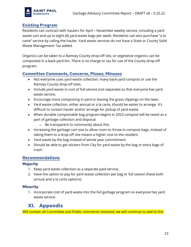

#### <span id="page-22-0"></span>**Existing Program**

Residents can contract with haulers for April – November weekly service, including a yard waste cart and up to eight (8) yard waste bags per week. Residents can also purchase "a la carte" service by calling the hauler. Yard waste services do not have a State or County Solid Waste Management Tax added.

Organics can be taken to a Ramsey County drop-off site, or vegetative organics can be composted in a back-yard bin. There is no charge or tax for use of the County drop-off program.

#### <span id="page-22-1"></span>**Committee Comments, Concerns, Pluses, Minuses**

- Not everyone uses yard waste collection; many back-yard compost or use the Ramsey County drop-off sites.
- Include yard waste in cost of full-service (not separate) so that everyone has yard waste service.
- Encourage more composting in yard or leaving the grass clippings on the lawn.
- Yard waste collection, either annual or a la carte, should be easier to arrange. It's difficult to contact hauler and/or arrange for pickup of yard waste.
- When durable compostable bag program begins in 2023 compost will be taxed as a part of garbage collection and disposal.
	- o Be transparent to community about this.
- Increasing the garbage cart size to allow room to throw in compost bags, instead of taking them to a drop-off site means a higher cost to the resident.
- Yard waste by the bag instead of whole year commitment.
- Should be able to get stickers from City for yard waste by the bag or extra bags of trash.

#### <span id="page-22-2"></span>**Recommendations**

#### <span id="page-22-3"></span>**Majority**

- 1. Keep yard waste collection as a separate paid service.
- 2. Have the option to pay for yard waste collection per bag or full season (have both annual and a la carte options).

#### <span id="page-22-4"></span>**Minority**

1. Incorporate cost of yard waste into the full garbage program so everyone has yard waste service.

# <span id="page-22-5"></span>**XI. Appendix**

Will contain all Committee and Public comments received; we will continue to add to this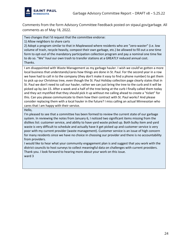

Comments from the form Advisory Committee Feedback posted on stpaul.gov/garbage. All comments as of May 18, 2022.

Two changes that I'd request that the committee endorse:

1) Allow neighbors to share carts

2) Adopt a program similar to that in Maplewood where residents who are "zero-waster" (i.e. low volume of trash, recycle heavily, compost their own garbage, etc.) be allowed to fill out a one time form to opt-out of the mandatory participation collection program and pay a nominal one time fee to do so. "We" haul our own trash to transfer stations at a GREATLY reduced annual cost. Thanks.

I am disappointed with Waste Management as my garbage hauler. I wish we could've gotten a more local business that understands/cares how things are done in St. Paul. For the second year in a row we have had to call in to the company (they don't make it easy to find a phone number) to get them to pick up our Christmas tree, even though the St. Paul Holiday collection page clearly states that in St. Paul we don't need to call our hauler, rather we can just bring the tree to the curb and it will be picked up by Jan 15. After a week and a half of the tree being at the curb I finally called them today and they act mystified that they should pick it up without me calling ahead to create a "ticket" for this. Can you please communicate to them how their contract with St. Paul works? And please consider replacing them with a local hauler in the future? I miss calling an actual Minnesotan who cares that I am happy with their service.

Hello,

I'm pleased to see that a committee has been formed to review the current state of our garbage system. In reviewing the notes from January 6, I noticed two significant items missing from the dislikes list: customer service, and ability to have yard waste picked up. Both bulky item and yard waste is very difficult to schedule and actually have it get picked up and customer service is very poor with my current provider (waste management). Customer service is an issue of high concern for many residents since we have no choice in choosing our provider and there is no accountability from providers.

I would like to hear what your community engagement plan is and suggest that you work with the district councils to host surveys to collect meaningful data on challenges with current providers. Thank you. I look forward to hearing more about your work on this issue. ward 3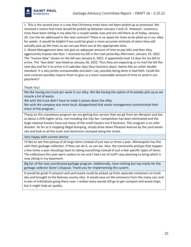

1. This is the second year in a row that Christmas trees have not been picked up as promised. We received a notice that trees would be picked up between January 2 and 15. However, numerous trees have been sitting in my alley for a couple weeks now and are still there as of today, January 20. Can this be addressed in the next contract? There is no space for trees to be piled up in our alley for weeks. It would be helpful if we could be given a more accurate estimate of when they will actually pick up the trees so we can put them out at the appropriate time.

2. Waste Management does not give an adequate amount of time to pay bills and then they aggressively impose late fees. I received my bill in the mail yesterday afternoon, January 19, 2022. The "invoice date" shown on the bill was January 6, 2022. It apparently took 13 days for my bill to arrive. The "due date" was listed as January 26, 2022. Thus they are expecting us to mail the bill the next day and for it to arrive in 6 calendar days (four business days). Seems like an unfair double standard. It is also pretty unreasonable and dare I say, possibly being done in bad faith. Could the next contract possibly require them to give us a more reasonable amount of time to send in out payments?

#### Thank You!

We like having one truck per week in our alley. We like having the option of bi-weekly pick up as we recycle a lot of waste.

We wish the truck didn't have to make 2 passes down the alley.

We wish the company was more local; disappointed that waste management concentrated their share of the program.

Thanjs to this mandatory program we are getting less service than we git from Jen Berquist and Son at about a 25% higher price, not including the City fee. Competition has been eliminated and the large national haulers have out many of the small haulers out if business. This orogram is an utter disaster. As far as it stopping illegal dumping, simply drive down Pleasant Avenue by the yard waste site and look at all the trash and electronics dumped along the street.

#### Very happy with current service

I'd like to see free pickup of all large items instead of just two or three a year. Minneapolis has this with their garbage collection. If they can do it, so can we. Also, the community pickups that happen a few times a year should go back to taking everything instead of just a few specific types of items. The collections this year were useless to me and I had a lot of stuff I was planning to bring which is now sitting in my basement.

Big fan of the new coordinated garbage program. Additionally, have nothing but top marks for the garbage collector Gene's Disposal. Thank you for implementing this system.

It would be great if compost and yard waste could be picked up from separate containers on trash day and brought to the Ramsey county sites. It would save on the emissions from the many cars and trucks of individuals going there now. I realize many would still go to get compost and wood chips, but it might help air quality.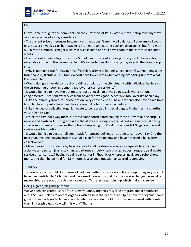

#### Hi,

I have some thoughts and comments on the current Saint Paul waste removal setup from my view as a homeowner of a single residence.

- The current price differences between cart sizes doesn't seem well balanced. For example I could easily use a bi-weekly cart by recycling a little more and cutting back on disposables, but for a mere \$3.50 more a month I can get weekly service instead and still have room in the cart to spare some weeks.

- I can set out an extra bag of trash for \$3 but cannot set out any surplus recycle. If I have extra recyclable stuff with the current system, it's easier to toss it vs. driving way over to the Como drop site.

- Why is our cost total for having trash/recycle/yardwaste hauled so expensive?? Surrounding cities (Minneapolis, Richfield, SLP, Maplewood) have lower rates when adding everything up from what I've researched.

- Would doing a citywide contract or bidding districts of the city directly with individual haulers vs. the current hauler pool agreement get lower prices for residents?

- It would be nice to have the option to choose a local hauler vs. being stuck with a national conglomerate. That said my service from Advanced was good. Since WM took over it's been okay.

- I like the annual yardwaste service option, very convenient as I have a lot and also never have time to go to the compost sites when they are open due to odd work schedule.

- I like the idea of collecting organics waste to be recycled in special bags with the trash, vs. getting yet ANOTHER cart.

- I think the city looks way more cluttered since coordinated hauling came out with all the surplus recycle and trash carts sitting around in the alleys and along streets. I'd certainly support allowing smaller multi-family properties the option of replacing 3x 30 gallon carts with 1 90 gallon one and similar sensible solutions.

- It would be nice to get a small credit back for unused bulkies, or be able to carryover 1 or 2 to the next year. I've been paying into this service plan for 3 years now and have not used a bulky item collection yet.

- Make it easier for residents by having a way for all trash/recycle service requests to go online thru a city website portal. (cart size change, cart repairs, bulky item pickup request, request yard waste service or cancel, etc.) Having to call a call center in Phoenix or wherever, navigate a robo phone menu, and then be on hold for 15 minutes just to get a question answered is annoying.

#### Thank you

To reduce costs, I would like sharing of carts and either fewer or no bulky pick up or pay as you go. I have been entitled to 12 bulkies and have used it once. I would like this service changed as most of my neighbors are not using this service either. Yet rates keep going up which makes no sense.

Doing a great job garbage team!

We've been consistent users of the Ramsey County organics recycling program and are confused about St. Paul's plans to accept organics with trash in the near future. Up 'til now, the organics have gone in thin biodegradable bags, which definitely wouldn't hold up if they were mixed with regular trash in a trash truck. How will this work? Thanks!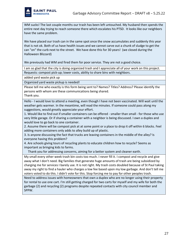

WM sucks! The last couple months our trash has been left untouched. My husband then spends the entire next day trying to reach someone there which escalates his PTSD. It looks like our neighbors have the same problem.

We have placed our trash can in the same spot once the snow accumulates and suddenly this year that is not ok. Both of us have health issues and we cannot carve out a chunk of sludge to get the can "on" the curb next to the street. We have done this for 30 years! (we closed during the Halloween Blizzard)

We previously had WM and fired them for poor service. They are not a good choice.

I am so glad that the city is doing organized trash and I appreciate all of your work on this project. Requests: compost pick-up; lower costs, ability to share bins with neighbors.

added yard waste pick up

Organized yard waste pickup is needed!

Please tell me who exactly is this form being sent to? Names? Titles? Address? Please identify the persons with whom are these communications being shared. Thank you.

Hello - I would love to attend a meeting, even though I have not been vaccinated. Will wait until the weather gets warmer. In the meantime, will read the minutes. If someone could pass along my suggestions, would greatly appreciate your effort.

1. Would like to find out if smaller containers can be offered - smaller than small - for those who use very little garage. Or if sharing a container with a neighbor is being discussed. I own a duplex and would love to go back to one container.

2. Assume there will be compost pick at at some point or a place to drop it off within 6 blocks. Feel adding more containers only adds to alley build up of plastic.

3. Is anyone discussing the fact that trucks are leaving containers in the middle of the alley? Is everyone having this problem?

4. Are schools giving tours of recycling plants to educate children how to recycle? Seems as important as bringing kids to farms.

Thank you for addressing concerns, aiming for a better system and cleaner earth.

My small every other week trash bin costs too much. I never fill it. I compost and recycle and give away what I don't need. Big families that generate huge amounts of trash are being subsidized by charging me for services I barely use. It is not right. My trash costs doubled because of St Paul taking away my right to find a hauler who charges a low fee based upon my low garbage. And don't tell me voters voted to do this. I didn't vote for this. Stop forcing me to pay for other peoples trash.

Need to address issues with homeowners that own a duplex who are no longer using their property for rental to use one cart. I'm still getting charged for two carts for myself and my wife for both the garbage (2) and recycling (2) programs despite repeated contacts with city council member and SPPW.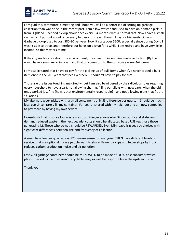

I am glad this committee is meeting and I hope you will do a better job of setting up garbage collection than was done in the recent past. I am a low-waster and used to have on-demand pickup from Highland. I needed pickup about once every 3-4 months with a normal cart. Now I have a small cart, which I put out about once every two months (even though I pay for bi-weekly pickup). Garbage pickup used to cost \$80-90 per year. Now it costs over \$200, especially since during Covid I wasn't able to travel and therefore put holds on pickup for a while. I am retired and have very little income, so this matters to me.

If the city really cares about the environment, they need to incentivize waste reduction. (By the way, I have a small recycling cart, and that only goes out to the curb once every 4-6 weeks.)

I am also irritated that I have to pay for the picking up of bulk items when I've never tossed a bulk item once in the 20+ years that I've lived here. I shouldn't have to pay for that.

Those are the issues touching me directly, but I am also bewildered by the ridiculous rules requiring every household to have a cart, not allowing sharing, filling our alleys with new carts when the old ones worked just fine (how is that environmentally responsible?), and not allowing plans that fit the situations.

My alternate week pickup with a small container is only \$3 difference per quarter. Should be much less, esp since I rarely fill my container. For years I shared with my neighbor and am now compelled to pay more by having my own service.

Households that produce low waste are subsidizing everyone else. Since county and state goals demand reduced waste in the next decade, costs should be allocated based USE (eg those those generating it). Those who do not, should be REWARDED. Even Minneapolis gives you choices with significant differences between size and frequency of collection.

A small base fee per quarter, say \$25, makes sense for everyone. THEN have different levels of service, that are optional in case people want to share. Fewer pickups and fewer stops by trucks reduces carbon production, noise and air pollution.

Lastly, all garbage containers should be MANDATED to be made of 100% post consumer waste plastic. Period. Since they aren't recyclable, may as well be responsible on the upstream side.

Thank you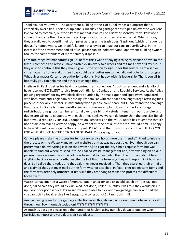

Thank you for your work! The apartment building at the T of our alley has a dumpster that is chronically over-filled. Their pick up date is Tuesday and garbage tends to pile up over the weekend. I've called to complain, but the city tells me that if we call on Friday or Monday, they likely won't come out and cite them because the pick up is so soon after they receive the call. What's more, they are allowed to overfill their dumpster as long as the trash doesn't spill out (which it frequently does). As homeowners, we (thankfully) are not allowed to heap our cans to overflowing. In the interest of the environment and all of us, please can we hold everyone- apartment building owners too- to the same standard of more sanitary disposal?

I am totally against mandatory sign up. Before this I was not paying a thing to dispose of my limited trash. I compose and recycle I have trash pick up every two weeks and at times never fill my bin. If they wish to continue this they should give us the option to sign up for this service. I am a senior citizen own my home and this fee I pay could be of better use to me. I did not vote for this program. What gives mayor Carter thee authority to do this. Not happy with his leadership. Thank you all & hopefully you can help me and others to change this.

I believe St. Paul is better for having organized trash collection. As both a resident and a landlord I have received EXCELLENT service from both Highland Sanitation and Republic Services. As the "alley plowing organizer" for my two block alley bounded by Thomas Liquor and Speedway, populated with both multi and single family housing, I'm familiar with the space challenges large recycling bins present, especially in winter. In my fantasy world people could share but I understand the challenge that presents. Some bins are over-flowing and some are empty but, as much as I encourage redistribution, neighbors can be territorial over their bins. My student tenants in our four-plex and duplex are willing to cooperate with each other. I believe we can do better than the one-size-fits-all but it would require EVERYONE'S cooperation. Ten years on the MGCC Board has taught me that it's not possible to make everyone happy, so why not stir the pot a little more? I would be VERY happy to have St. Paul collect organic/food compost. PLEASE add that to your trash contract. THANK YOU FOR YOUR SERVICE TO THE CITIZENS OF ST. PAUL. I'm praying for you.

Can we please make the process for temporary service holds more user friendly? I tried to initiate the process on the Waste Management website but that was not possible. (Even though you can pretty much do everything else on their website.) So I got the city's hold request form but was unable to find out where to send it to. So I called Waste Management and, after waiting on hold, a person there gave me the e-mail address to send it to. I e-mailed them the form and didn't hear anything back for over a month, despite the fact that the form says they will respond in 7 business days. So I called there today and they said they never received it. Then they searched their e-mails and claimed they got my e-mail but the form was not attached. In fact, I checked my sent items and the form was definitely attached. It feels like they are trying to make this process too difficult to bother with.

Waste Management is a waste of money. I put in an order to pick up old couch on Tuesday, not done, called said they would pick up Wed. not done, Called Thursday I was told they would pick it up. Poor poor poor service. It's so sad we aren't able to pick our own garbage hauler and sad the city can't pick a local service like Bergquist. Moving out of St.Paul soon!!!!!!!

Are we paying taxes for the garbage collection even though we pay for our own garbage removal through our Townhome Associatiion?????????????????????

As much as possible please keep the number of haulers using our alley down to one per week.

Curbside compost and yard debris pick up please.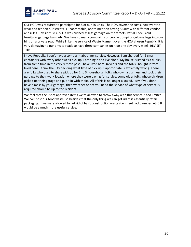

Our HOA was required to participate for 8 of our 50 units. The HOA covers the costs, however the wear and tear on our streets is unacceptable, not to mention having 8 units with different vendor and rules. Revisit this! ALSO, it was pushed as less garbage on the streets, yet all I see is old furniture, garbage bags, etc. We have so many complaints of people dumping garbage bags into our bins on a private road. While I like the service of Waste Mgment over the HOA chosen Republic, it is very damaging to our private roads to have three companies on it on one day every week. REVISIT THIS!

I have Republic. I don't have a complaint about my service. However, I am charged for 2 small containers with every other week pick up. I am single and live alone. My house is listed as a duplex from some time in the very remote past. I have lived here 34 years and the folks I bought it from lived here. I think the City deciding what type of pick up is appropriate is extremely wrong. There are folks who used to share pick up for 2 to 3 households; folks who own a business and took their garbage to their work location where they were paying for service; some older folks whose children picked up their garage and put it in with theirs. All of this is no longer allowed. I say if you don't have a mess by your garbage, then whether or not you need the service of what type of service is required should be up to the resident.

We feel that the list of approved items we're allowed to throw away with this service is too limited. We compost our food waste, so besides that the only thing we can get rid of is essentially retail packaging. If we were allowed to get rid of basic construction waste (i.e. sheet rock, lumber, etc.) It would be a much more useful service.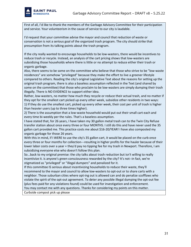

First of all, I'd like to thank the members of the Garbage Advisory Committee for their participation and service. Your volunteerism in the cause of service to our city is laudable.

I'd request that your committee advise the mayor and council that reduction of waste or conservation is not a serious goal of the organized trash program. The city should strike that presumption from its talking points about the trash program.

If the city really wanted to encourage households to be low-wasters, there would be incentives to reduce trash or recycle. Instead, an analysis of the cart pricing shows that low-wasters are subsidizing those households where there is little or no attempt to reduce either their trash or organic garbage.

Also, there seems to be some on the committee who believe that those who strive to be "low-waste residences" are somehow "privileged" because they make the effort to live a greener lifestyle compared to others. Reading the city's original Legislative Text about the reasons for setting up the original trash program, there is also a baseless assumption reflected in the Text (and shared by some on the committee) that those who proclaim to be low-wasters are simply dumping their trash illegally. There is NO EVIDENCE to support either idea.

Rather, low-wasters, no matter how much they recycle or reduce their actual trash, and no matter if they opt for the smallest cart picked up every other week, subsidize other residents in two ways: 1) If they do use the smallest cart, picked up every other week, their cost per unit of trash is higher than heavier users (up to three times higher).

2) There is the assumption that a low-waste household would put out their small cart each and every time bi-weekly per the rules. That's a baseless assumption.

I have stated that, for 26 years, I have taken my 30 gallon metal trash can to the Twin City Refuse transfer station about once every three or four MONTHS. I still do this and have never used the 35 gallon cart provided me. This practice costs me about \$16-20/YEAR! I have also composted my organic garbage for those 26 years.

With this in mind, if I WERE to use the city's 35 gallon cart, it would be placed on the curb once every three or four months for collection---resulting in higher profits for the hauler because of their lower labor costs over a year + they'd pay no tipping fee for my trash in Newport. Therefore, I am subsidizing everyone else who doesn't follow this plan.

So...back to my original premise: the city talks about trash reduction but isn't willing to really incentivize it. is anyone's green consciousness rewarded by the city? It's not--in fact, we're stigmatized as "privileged" or "illegal dumpers" and penalized for it.

If this committee IS serious about incentivizing households to reduce their waste, they'll recommend to the mayor and council to allow low-wasters to opt-out or to share carts with a neighbor. Those suburban cities where opt-ing out is allowed can and do penalize scofflaws who violate the spirit of the opt-out agreement. To deter any possible illegal dumping the opt-out fee (plus fees paid for any violations found) could be used for investigation and enforcement.

You may contact me with any questions. Thanks for considering my points on this matter.

Curbside compost pick up please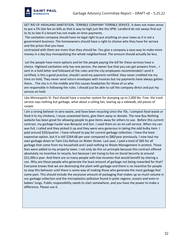

GET RID OF HIGHLAND SANITATION. TERRIBLE COMPANY TERRIBLE SERVICE. It does not make sense to put a 5% late fee on bills as that is way to high just like the SPW. Landlord do not aways find out to its to late if a tenant has not made on-time payments.

The sanitation company should have no legal right to put anything on your taxes as it is not a government business. The homeowners should have a right to choose who they have for service and the prices that you have

contracted with them are more than they should be. You give a company a easy way to make more money in a day buy monopolizing the whole neighborhood. The amount should actually be less.

Let the people have more options and let the people paying the bill for these services have a choice. Highland sanitation only has one person, the owner Sue that you can get answers from... I sent in a hold letter and followed all the rules and the city employees recommended I send it certified, is this a good practice, should I send my payment certified. they never credited me my time on hold, They never send return envelopes with invoices but my payments have always gotten there... The city is in the middle and this causes headaches for those of us who are responsible in following the rules. I should just be able to call the company direct and put my service on hold.

Like Minneapolis St. Paul should have a voucher system for dumping up to 2,000 lbs. Free. the trash service says nothing but garbage, what about a ceiling fan, tearing up a sidewalk, old pieces of carpet.

I am a strong believer in zero waste, and have been recycling since the 70s. I compost food waste or feed it to my chickens, I reuse unwanted items, give them away or donate. The new Buy Nothing website has been great for allowing people to give items away for others to use. Before this current contract, my garbage hauler was Berquist and Son. I used them on an on-call service. When my can was full, I called and they picked it up and they were very generous in taking the odd bulky item. I paid around \$20/quarter. I have refused to pay for current garbage collection. I have the least expensive option, but it is still \$264.68 per year compared to \$80/year previously. I now haul my own garbage down to Twin City Refuse on Water Street. Last year, I paid a total of \$85 for all garbage that came from my household and I paid nothing to Waste Management in protest. Those fees were added to my property taxes. I not only do this on principle because this contract offered absolutely no incentive to recycle, but because I am trying to live on Social Security at around \$21,000 a year. And there are so many people with low incomes that would benefit by sharing a can. Why are those people who generate the least amount of garbage not being rewarded for that? Everyone knows that we are destroying the plant with garbage and there is no incentive for people to stop this behavior until there is some way of making those who generate the most garbage feel some pain. This should include the excessive amount of packaging that makes up so much volume in our garbage collection and the microplastics pollution found in polar regions, oceans and even in babies' lungs. Public responsibility needs to start somewhere, and you have the power to make a difference. Please use it.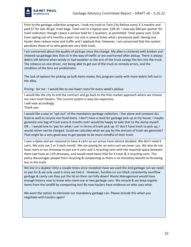

Prior to the garbage collection program, I took my trash to Twin City Refuse every 2-3 months and paid \$7 for two 30 gal. trash bags. Total cost in a typical year: \$28-35. I now pay \$60 per quarter for trash collection, though I place a service hold for 2 quarters, as permitted. Total yearly cost: \$120. Even opting out of 6 months a year, my cost is several times what I previously paid. Having one hauler does reduce noise and traffic and I applaud that. However, I am concerned that the system penalizes those of us who generate very little trash.

I am concerned about the quality of pickups since the change. My alley is cluttered with broken and chewed-up garbage bins that sit in the way of traffic or are overturned after pickup. There is always debris left behind when windy or bad weather as the arm of the truck swings the bin into the truck. The reliance on one driver, not being able to get out of the truck to remedy errors, and the condition of the bins are problematic.

The lack of options for picking up bulk items makes this program costly with more debris left out in the alley.

Pricing - for me - I would like to see lower costs for every week's pickup

I would like the city to end the contract and go back to the free market approach where we choose our own trash haulers. This current system is way too expensive. I will vote accordingly.

Thank you

I would like a way to "opt out" of the mandatory garbage collection. I live alone and compost ALL food as well as recycle non food items. I don't have a need for garbage pick up at my house. I maybe generate one bag of trash every 6 months and I would be happy to take that to the dump myself. OR... I would love to 'pay for what I use' in terms of trash pick up. If I don't have trash to pick up, I would rather not be charged. Could we calculate what we pay by the amount of trash we generate? That might be a very good way to get people to be more mindful of their trash.

I own a 4plex and am required to have 4 carts so our prices have almost doubled. We don't need 4 carts. We only use 2 or 3 each month. We are paying for an extra cart we never use. We also do not have room in our driveway to put out 4 carts and 3 recycling carts with the required space between them (we have an 11ft driveway, and would need twice that for 4 trash & 3 recycling carts. This policy discourages people from recycling & composting as there is no monetary benefit to throwing less in the trash.

We live in a duplex! Only a couple times since inception have we used the 2nd garbage can we need to pay for & we only used it since we had it. However, families on our block consistently overflow garbage & rarely can they put the lid on their can fully down! Waste Management would have enough history now to know who need one or two garbage cans. We recycle & we keep organic items from the landfill by composting too! By now haulers have evidence on who uses what.

We want the option to eliminate our mandatory garbage can. Please include this when you negotiate with haulers again!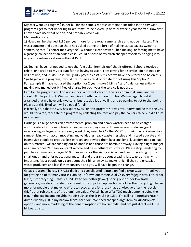

My cost went up roughly \$45 per bill for the same size trash container. Included in the city wide program I get to "set up for big ticket items" to be picked up once or twice a year for free. However I never have used that option, and probably never will.

My questions are:

1) How can I be charged \$180 per year more for the exact same service and not be irritated. This was a concern and question that I had asked during the force of making us tax payers switch to something that "is better for everyone", without a clear answer. Then making, or forcing me to have a garbage collection at an added cost. I could dispose of my trash cheaper myself by bringing it to any of the refuse locations within St.Paul.

2). Seeing I have not needed to use the "big ticket item pickup" that is offered, I should receive a rebait, or a credit to my account for not having to use it. I am paying for a service I do not need or will not use, and if I do use it I will gladly pay the cost! But since we have been forced to be on this "garbage" waste program, I would like to see a credit or rebate for not using this "option". For example if I have not used that option for 2 year, make 2 bills a "zero" balance, essentially making one mailed out bill free of charge for each year the service is not used.

I am for the program and I do not support a opt-out version. The is a communal issue, and we should ALL be part of it. We own and live in both parts of our duplex. We managed to get it arranged that we have only two cans, but it took a lot of yelling and screaming to get to that point. Please get this fixed so it will be equal for all.

Is it really true that the City has spent \$26M on this program? It was my understanding that the City would, for a fee, facilitate the program by collecting the fees and pay the haulers. Where did all that money go?

Garbage is a huge American environmental problem and heavy wasters need to be charged appropriately for the mindlessly excessive waste they create. If families are producing giant overflowing garbage canisters every week, they need to PAY the MOST for their waste. Please stop sympathizing with, accommodating and validating heavy waste lifestyles and instead educate and incentivize people to produce less garbage and reward them by a smaller bill. Leaders need to lead on this matter - we are running out of landfills and those are horrible anyway. Having a tight budget or a family doesn't mean you can't recycle and be mindful of your waste. Please stop pandering to people's excuses and charge 3-10 times more for the giant canisters and next to nothing for the small ones - and offer educational material and programs about creating less waste and why its important. Most people only care about their bill anyway, so make it high if they are excessive waste producers and less if they conserve and you will have begun the change.

Great program. The city FINALLY did it and consolidated it into a unified pickup system. Thank you for getting rid of SO many trucks running up/down our streets & ally's every friggg'n day. 1-truck for trash, 1-for recycling … that's it! I'd like to see better (lower) pricing options for low trash generators, maybe correlate the amount of trash picked up per household vs their recycling, charge more for people that make no effort to recycle, less for those that do. Also, go after the recycle thief's that rob the city of the aluminum value. We still have WAY TOO much dumping going tho esp. in the low income neighborhoods such as the St Paul East Side. I'm calling in furniture/trash dumps weekly just in my narrow travel corridors. We need cheaper large item pickup/drop off options, and more marketing of the benefits/options to households…and not just direct mail, use billboards etc.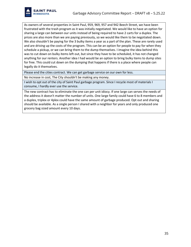

As owners of several properties in Saint Paul, 959, 969, 957 and 942 Beech Street, we have been frustrated with the trash program as it was initially negotiated. We would like to have an option for sharing a large can between our units instead of being required to have 2 carts for a duplex. The prices are also more than we are paying previously, so we would like them to be negotiated down. We also shouldn't be paying for the 3 bulky items a year as a part of the plan. These are rarely used and are driving up the costs of the program. This can be an option for people to pay for when they schedule a pickup, or we can bring them to the dump themselves. I imagine the idea behind this was to cut down on bulky items left out, but since they have to be scheduled, it has not changed anything for our renters. Another idea I had would be an option to bring bulky items to dump sites for free. This could cut down on the dumping that happens if there is a place where people can legally do it themselves.

Please end the cities contract. We can get garbage service on our own for less.

No increase in cost, The City shouldn't be making any money.

I wish to opt out of the city of Saint Paul garbage program. Since I recycle most of materials I consume, I hardly ever use the service.

The new contract has to eliminate the one can per unit idiocy. If one large can serves the needs of the address it doesn't matter the number of units. One large family could have 6 to 8 members and a duplex, triplex or 4plex could have the same amount of garbage produced. Opt out and sharing should be available. As a single person I shared with a neighbor for years and only produced one grocery bag sized amount every 10 days.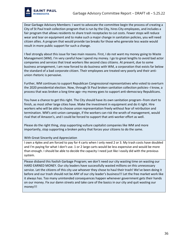Dear Garbage Advisory Members: I want to advocate the committee begin the process of creating a City of St Paul trash collection program that is run by the City, hires City employees, and includes a fair program that allows residents to share trash receptacles to cut costs. Fewer stops will reduce wear and tear on equipment and to make such a major change in sanitation policies, you will need citizen allies. A program that would provide tax breaks for those who generate less waste would result in more public support for such a change.

I feel strongly about this issue for two main reasons. First, I do not want my money going to Waste Management (WM). I'm very careful how I spend my money. I go to great lengths to avoid bad actor companies and services that treat workers like second class citizens. At present, due to some business arrangement, I am now forced to do business with WM, a corporation that exists far below the standard of a bad corporate citizen. Their employees are treated very poorly and their antiunion rhetoric is pervasive.

Further, WM continues to support Republican Congressional representatives who voted to overturn the 2020 presidential election. Now, through St Paul broken sanitation collection policies--I know, a process that was broken a long time ago--my money goes to support anti-democracy Republicans.

You have a chance to get this right. The City should have its own sanitation program--from start to finish, as most other large cities have. Make the investment in equipment and do it right. Hire workers who will be able to choose union representation freely without fear of retribution and termination. WM's anti-union campaign, if the workers can risk the wrath of management, would rival that of Amazon's, and I could be forced to support that anti-worker effort as well.

Please do the right thing, stop supporting vulture capitalist companies like WM and more importantly, stop supporting a broken policy that forces your citizens to do the same.

With Great Sincerity and Appreciation

I own a 4plex and am forced to pay for 4 carts when I only need 2 or 3. My trash costs have doubled and I'm paying for what I don't use. 1 or 2 large carts would be less expensive and would be more than enough. I should be able to decide the capacity I need just like I easily did with the previous system.

Please disband this foolish Garbage Program; we don't need our city wasting time on wasting our HARD EARNED MONEY. Our city leaders have successfully wasted millions on this unnecessary service. Let the citizens of this city use whoever they chose to haul their trash! We've been doing it before and our trash should not be ANY of our city leader's business!!! Let the free market work like it always has. Too many unintended consequences happen whenever government gets their hands on our money. Fix our damn streets and take care of the basics in our city and quit wasting our money!!!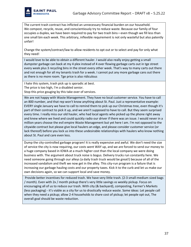

The current trash contract has inflicted an unnecessary financial burden on our household. We compost, recycle, reuse, and conscientiously try to reduce waste. Because our family of four occupies a duplex, we have been required to pay for two trash bins—even though we fill less than one small bin each week. This arbitrary, inflexible requirement is not only wasteful but also patently unfair!

Change the system/contract/law to allow residents to opt out or to select and pay for only what they need!

I would love to be able to obtain a different hauler. I would also really enjoy getting a small dumpster garbage can back at my 4 plex instead of 4 over flowing garbage carts out in tge street every week plus 3 recycling bins in the street every other week. That's way to many carts out there and not enough for all my tenants trash for a week. I cannot put any more garbage cans out there as there is no more room. Tge price is also ridiculous

I hate this system, trash pick up is sporadic at best.

The price is too high, I'm a disabled senior.

Stop this price gouging by this take over of services.

We are not happy with Waste Management. They have no local customer service. You have to call an 800 number, and that rep won't know anything about St. Paul. Just a representative example: EVERY single January we have to call to remind them to pick up our Christmas tree, even though it's part of their contract to pick it up, and we aren't supposed to have to call. But they seem surprised every time. I really miss our old hauler, who had local agents who picked up the phone right away and knew where we lived and could quickly radio our driver if there was an issue. I would never in a million years choose the evil empire Waste Management but yet here I am. I'm not opposed to the citywide contract but please give local haulers an edge, and please consider customer service (or lack thereof) before you lock us into these undesirable relationships with haulers who know nothing about St. Paul and care even less.

Dump the city-controlled garbage program! It is really expensive and awful. We don't need the size of service the city is now requiring, our costs went WAY up, and we are forced to send our money to a huge company based in IOWA at a much higher cost than the local company we were doing business with. The argument about truck noise is bogus. Delivery trucks run constantly here. We need someone going through our alleys (a daily trash truck would be great!) because of all of the increased vandalism and theft we now get in the alley. This city-run program is a failure that is increasing our garbage hauling costs and our property taxes. Kick it to the curb and let us make our own decisions again, so we can support local and save money.

Provide better incentives for reduced trash. We have very little trash. (2-3 small-medium sized bags / month). Even with 2x / month pickup there's very little savings vs weekly pickup. Focus on encouraging all of us to reduce our trash. With city (& backyard), composting, Farmer's Markets (less packaging) - it's viable as a city for us to drastically reduce waste. Some ideas: Let people call when they need a pickup; allow 2-4 households to share cost of pickup; let people opt out, The overall goal should be waste reduction.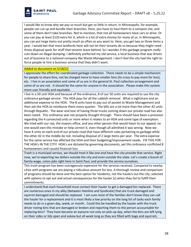

I would like to know why we pay so much but get so little in return. In Minneapolis, for example, people can cut up and bundle their branches. Here, you have to haul them to a compost site, and some of them don't take branches. Not to mention, that not all homeowners have cars or drive. Or you can pay at least \$120 extra for it, which is a lot of extra money for many of us. In Minneapolis, you can put large items out pretty much as often as you want to. Here, you get two or three items a year. I would bet that most landlords here will not let their tenants do so because they might need those disposal spots for stuff that tenants leave behind. So I wonder if this garbage program really cuts down on illegal dumping. I definitely preferred my old service, a local business that was driven out of business to a national company like Waste Management. I don't feel the city had the right to force people to hire a business service that they didn't want.

#### Added to document on 5/18/22

I appreciate the effort for coordinated garbage collection. There needs to be a simple mechanism for people to share bins, not be charged more to have smaller bins (its crazy to pay more for less), etc. I live in an association and some of us are in the general St. Paul collection arrangement and some of us are not. It should be the same for anyone in the association. Please make this system more user friendly and equitable.

I live in a 50 unit HOA and because of the ordinance, 8 of our 50 units are required to use the city ordinance garbage service. The HOA pays for all the rubbish removal. What a nightmare and an additional expense to the HOA. The 8 units have to pay out of pocket to Waste Management and then ask the HOA to reimburse them every quarter. The bills are a lot more than the other 42 units through Republic. The wear and tear of having three trucks coming down our private road has also been noted. This ordinance was not properly thought through. There should have been a provision regarding the 4 connected units or more when it relates to an HOA and some type of exemption. We tried with our rep, the mayors office, and any other person that would listen to our appeal; no one would own this mistake or help correct it, even though all admitted it was wrong. Now we have 4 units on each end of our private road that have different rules pertaining to garbage while the other 42 in the middle do not, including disposal of 2 large items per year. The extra expense for the same service has affected the HOA and their budgeting/improvement needs. FIX THIS FOR THE HOA's IN THE CITY! HOA's are dictated by governing documents, yet this ordinance conflicted 8 homeowners and caused financial loss.

Trash is a municipal service, we should treat it like one and have the city provide that service. Right now, we're exporting tax dollars outside the city and even outside the state. Let's create a bunch of family wage, union jobs right here in Saint Paul, and provide the service ourselves.

This trash program has been outrageously expensive for the services received. Compared to nearby cities with programs we are paying a ridiculous amount for less. A thorough review and comparison of programs should be done and the best option for residents, not the haulers out the city, selected with options to opt out and actual consequences for the hauler (s) when they fail to fulfill their commitments.

I understand that each household must contact their hauler to get a damaged bin replaced. There are numerous ones in my alley (between Hamline and Syndicate) that are truck damaged and squirrel damaged and should be replaced. I am sure most of the families don't know they can call the hauler for a replacement and it is most likely a low priority on the long list of tasks each family needs to do in a given day, week, or month. Could this be handled by the hauler with the truck driver noting bins that are damaged or broken and reporting them to the person accountable for replacing bins? They have become an eyesore not only on pick-up day, when the bins are left lying on their sides or lids open and askew but all week long as they are filled with bags and squirrels.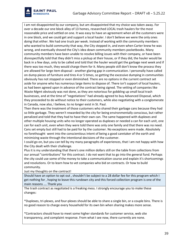

I am not disappointed by our company, but am disappointed that my choice was taken away. For over a decade our one block alley of 13 homes, researched LOCAL trash haulers for the most reasonable price and settled on one. It was easy to have an agreement when all the customers were in one block, and we could get and support a local hauler. I don't believe we were the only ones doing that either. We had one truck per week. Instead of working with the community members who wanted to build community that way, the City stepped in, and even when Carter knew he was wrong, and eventually shoved the City's idea down community members pocketbooks. Many community members have been unable to resolve billing issues with their company, or have been disrespectfully told that they didn't miss a pickup at their house, or if they did, the hauler would be back in a few days, only to be called and told that the hauler would get the garbage next week and if there was too much, they would charge them for it. Many people still don't know the process they are allowed for large item disposal - another glaring gap in communication. I personally have called on dump pieces of furniture and tires 4 or 5 times, so getting the excessive dumping in communities obviously has not stopped or even diminished. There are no options in the current contract set aside for anyone who has numerous large items to dispose of. There isn't support of local haulers, as had been agreed upon in advance of the contract being signed. The vetting of companies like Waste Mgmt obviously was not done, as they are notorious for gobbling up small local trash businesses, and at the time of "negotiations" had already agreed to buy Advanced Disposal, which they proceeded to do without notice to their customers, while also negotiating with a conglomerate in Canada, now also, I believe, to no longer exist in St. Paul.

Then there was the treatment of those customers who shared their garbage cans because they had so little garbage. They weren't rewarded by the city for being environmentally conscious, but rather penalized and told that they had to have their own can. The same happened with duplexes and other multiple housing units who no longer operated as duplexes or needed a can for each unit, one can for each unit, even when they were told there was only one family and that there was no need. Cans set empty but still had to be paid for by the customer. No exceptions were made. Absolutely no forethought went into the conscientious intent of being a good caretaker of the earth and minimizing waste through the intentional decisions of the customer.

I could go on, but you can tell by my many paragraphs of experiences, that I am not happy with how the City dealt with their challenge.

Plus it is my understanding that there's one million dollars still on the table from collections from our annual "contributions" for this contract. I do not want that to go into the general fund. Perhaps the city could use some of the money to take a communication course and explain it's shortcomings and resolutions. Or to learn how to vet companies who bid on contracts. Or how to build community.

Just my thoughts on the contract!

Should have an option to opt out , shouldn't be subject to a 28 dollar fee for this program which I get nothing for , hoping to leave this rundown city and this forced collection program is one of the main reasons …. Thank you

The trash contract as negotiated is a freaking mess. I strongly encourage you to make these changes:

\*Duplexes, tri-plexes, and four-plexes should be able to share a single bin, or a couple bins. There is no good reason to charge every household for its own bin when sharing makes more sense.

\*Contractors should have to meet some higher standards for customer service, web site transparency, and complaint response. From what I see now, there currently are none.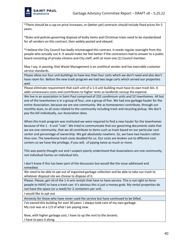

\*There should be a cap on price increases, or (better yet) contracts should include fixed prices for 5 years.

\*Rules and policies governing disposal of bulky items and Christmas trees need to be standardized for all vendors on this contract, then widely posted and obeyed.

\*I believe the City Council has badly mismanaged this contract. It needs regular oversight from the people who actually use it. It would make me feel better if the contractors had to answer to a public board consisting of private citizens and City staff, with at most one (1) Council member.

May I say, in passing, that Waste Management is an unethical vendor and has execrable customer service standards.

Please allow our four unit buildings to have less than four carts which we don't need and also don't have room for. Before the new trash program we had two large carts which served our properties well.

Please eliminate requirement that each unit of a 1-4 unit building must have its own trash bin. It adds unnecessary costs and contributes to higher rents as landlords recoup the expense.

We live in an association in Saint Paul comprised of 232 condimium units and 52 townhomes. All but one of the townhomes is in a group of four, one a group of five. We had one garbage hauler for the entire Association, because we are one community. We as homeowners contribute, through our monthly dues, to all costs related to the community including trash and recycling pickup. We don't pay the bill individually, our Association does.

When this trash program was instituted we were required to find a new hauler for the townhomes because of the 1 - 4 unit "rule". We tried to communicate that our governing documents state that we are one community, that we all contribute to items such as trash based on our particular cost center and percentage of ownership. We got absolutely nowhere. So, we have two haulers rather than one. The townhome trash costs doubled for us. Our costs are broken out to different cost centers so we have the privilege, if you will, of paying twice as much or more.

This was poorly thought out and I suspect poorly understood that Associations are one community, not individual homes on individual lots.

I don't know if this has been part of the discussion but would like the issue addressed and remedied.

We need to be able to opt out of organized garbage collection and be able to take our trash to whatever disposal site we choose to dispose of it.

Please. Please, get rid of the 1-4 unit rentals that have to have service. This is not right to force people to HAVE to have a trash can. It's obvious this is just a money grab. My rental properties do not have the space (or a need) for 2 containers per unit.

I would like to opt out.

Amnesty for those who have never used the service but have continued to be billed.

I've owned this building for over 30 years. I always took care of my own garbage. My cost was at a 1/3 of what I am paying now.

Now, with higher garbage cost, I have to up the rent to the tenants. I have to pass it along.